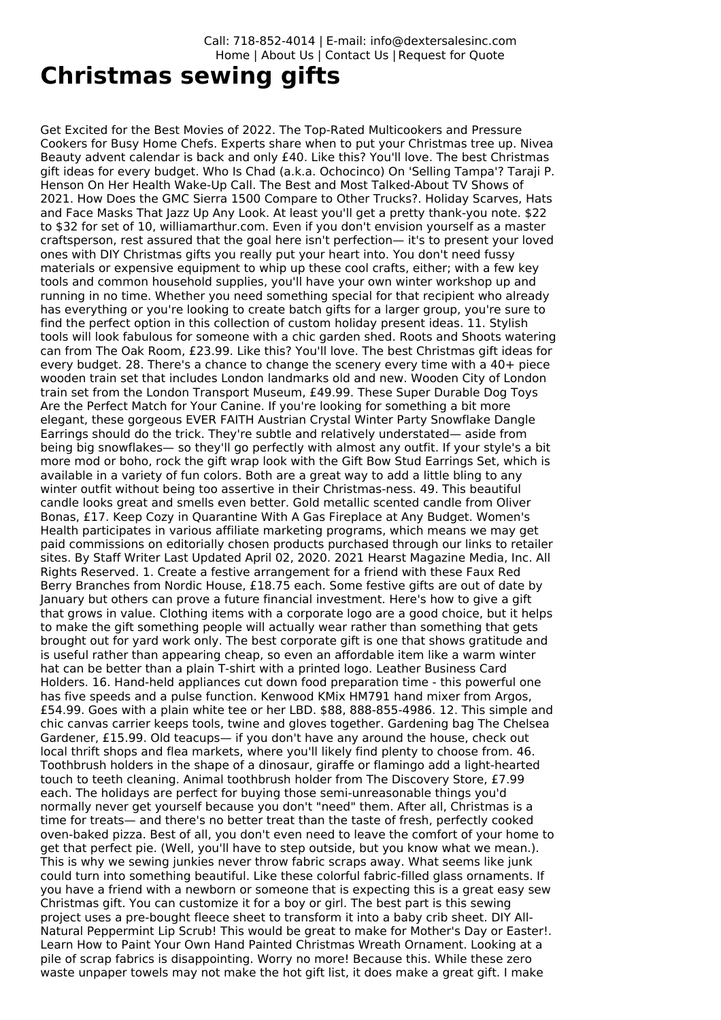Call: 718-852-4014 | E-mail: info@dextersalesinc.com Home | About Us | Contact Us |Request for Quote

## **Christmas sewing gifts**

Get Excited for the Best Movies of 2022. The Top-Rated Multicookers and Pressure Cookers for Busy Home Chefs. Experts share when to put your Christmas tree up. Nivea Beauty advent calendar is back and only £40. Like this? You'll love. The best Christmas gift ideas for every budget. Who Is Chad (a.k.a. Ochocinco) On 'Selling Tampa'? Taraji P. Henson On Her Health Wake-Up Call. The Best and Most Talked-About TV Shows of 2021. How Does the GMC Sierra 1500 Compare to Other Trucks?. Holiday Scarves, Hats and Face Masks That Jazz Up Any Look. At least you'll get a pretty thank-you note. \$22 to \$32 for set of 10, williamarthur.com. Even if you don't envision yourself as a master craftsperson, rest assured that the goal here isn't perfection— it's to present your loved ones with DIY Christmas gifts you really put your heart into. You don't need fussy materials or expensive equipment to whip up these cool crafts, either; with a few key tools and common household supplies, you'll have your own winter workshop up and running in no time. Whether you need something special for that recipient who already has everything or you're looking to create batch gifts for a larger group, you're sure to find the perfect option in this collection of custom holiday present ideas. 11. Stylish tools will look fabulous for someone with a chic garden shed. Roots and Shoots watering can from The Oak Room, £23.99. Like this? You'll love. The best Christmas gift ideas for every budget. 28. There's a chance to change the scenery every time with a 40+ piece wooden train set that includes London landmarks old and new. Wooden City of London train set from the London Transport Museum, £49.99. These Super Durable Dog Toys Are the Perfect Match for Your Canine. If you're looking for something a bit more elegant, these gorgeous EVER FAITH Austrian Crystal Winter Party Snowflake Dangle Earrings should do the trick. They're subtle and relatively understated— aside from being big snowflakes— so they'll go perfectly with almost any outfit. If your style's a bit more mod or boho, rock the gift wrap look with the Gift Bow Stud Earrings Set, which is available in a variety of fun colors. Both are a great way to add a little bling to any winter outfit without being too assertive in their Christmas-ness. 49. This beautiful candle looks great and smells even better. Gold metallic scented candle from Oliver Bonas, £17. Keep Cozy in Quarantine With A Gas Fireplace at Any Budget. Women's Health participates in various affiliate marketing programs, which means we may get paid commissions on editorially chosen products purchased through our links to retailer sites. By Staff Writer Last Updated April 02, 2020. 2021 Hearst Magazine Media, Inc. All Rights Reserved. 1. Create a festive arrangement for a friend with these Faux Red Berry Branches from Nordic House, £18.75 each. Some festive gifts are out of date by January but others can prove a future financial investment. Here's how to give a gift that grows in value. Clothing items with a corporate logo are a good choice, but it helps to make the gift something people will actually wear rather than something that gets brought out for yard work only. The best corporate gift is one that shows gratitude and is useful rather than appearing cheap, so even an affordable item like a warm winter hat can be better than a plain T-shirt with a printed logo. Leather Business Card Holders. 16. Hand-held appliances cut down food preparation time - this powerful one has five speeds and a pulse function. Kenwood KMix HM791 hand mixer from Argos, £54.99. Goes with a plain white tee or her LBD. \$88, 888-855-4986. 12. This simple and chic canvas carrier keeps tools, twine and gloves together. Gardening bag The Chelsea Gardener, £15.99. Old teacups— if you don't have any around the house, check out local thrift shops and flea markets, where you'll likely find plenty to choose from. 46. Toothbrush holders in the shape of a dinosaur, giraffe or flamingo add a light-hearted touch to teeth cleaning. Animal toothbrush holder from The Discovery Store, £7.99 each. The holidays are perfect for buying those semi-unreasonable things you'd normally never get yourself because you don't "need" them. After all, Christmas is a time for treats— and there's no better treat than the taste of fresh, perfectly cooked oven-baked pizza. Best of all, you don't even need to leave the comfort of your home to get that perfect pie. (Well, you'll have to step outside, but you know what we mean.). This is why we sewing junkies never throw fabric scraps away. What seems like junk could turn into something beautiful. Like these colorful fabric-filled glass ornaments. If you have a friend with a newborn or someone that is expecting this is a great easy sew Christmas gift. You can customize it for a boy or girl. The best part is this sewing project uses a pre-bought fleece sheet to transform it into a baby crib sheet. DIY All-Natural Peppermint Lip Scrub! This would be great to make for Mother's Day or Easter!. Learn How to Paint Your Own Hand Painted Christmas Wreath Ornament. Looking at a pile of scrap fabrics is disappointing. Worry no more! Because this. While these zero waste unpaper towels may not make the hot gift list, it does make a great gift. I make